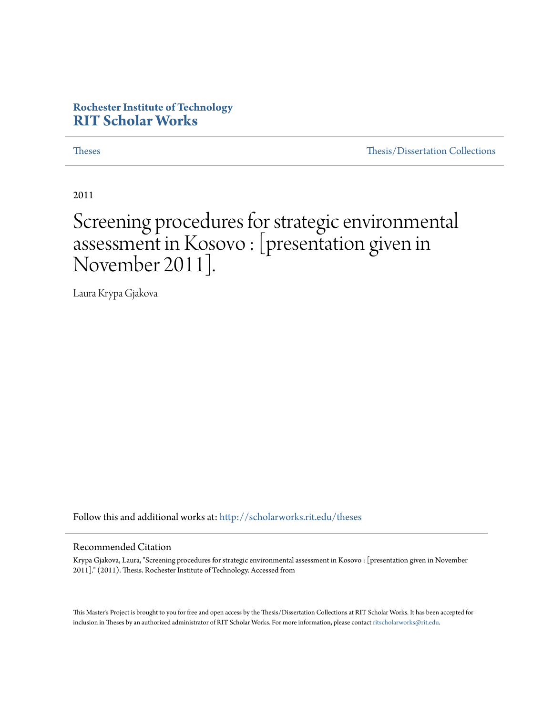#### **Rochester Institute of Technology [RIT Scholar Works](http://scholarworks.rit.edu?utm_source=scholarworks.rit.edu%2Ftheses%2F6965&utm_medium=PDF&utm_campaign=PDFCoverPages)**

[Theses](http://scholarworks.rit.edu/theses?utm_source=scholarworks.rit.edu%2Ftheses%2F6965&utm_medium=PDF&utm_campaign=PDFCoverPages) [Thesis/Dissertation Collections](http://scholarworks.rit.edu/etd_collections?utm_source=scholarworks.rit.edu%2Ftheses%2F6965&utm_medium=PDF&utm_campaign=PDFCoverPages)

2011

#### Screening procedures for strategic environmental assessment in Kosovo : [presentation given in November 2011].

Laura Krypa Gjakova

Follow this and additional works at: [http://scholarworks.rit.edu/theses](http://scholarworks.rit.edu/theses?utm_source=scholarworks.rit.edu%2Ftheses%2F6965&utm_medium=PDF&utm_campaign=PDFCoverPages)

#### Recommended Citation

Krypa Gjakova, Laura, "Screening procedures for strategic environmental assessment in Kosovo : [presentation given in November 2011]." (2011). Thesis. Rochester Institute of Technology. Accessed from

This Master's Project is brought to you for free and open access by the Thesis/Dissertation Collections at RIT Scholar Works. It has been accepted for inclusion in Theses by an authorized administrator of RIT Scholar Works. For more information, please contact [ritscholarworks@rit.edu](mailto:ritscholarworks@rit.edu).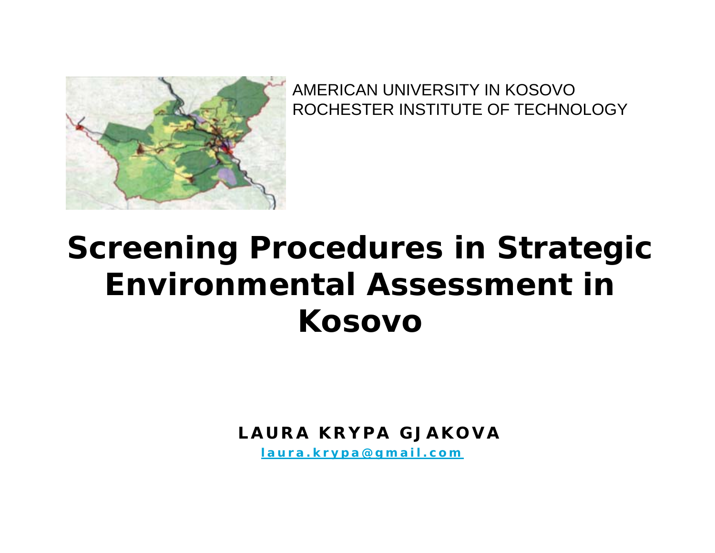

AMERICAN UNIVERSITY IN KOSOVOROCHESTER INSTITUTE OF TECHNOLOGY

# **Screening Procedures in Strategic Environmental Assessment in Kosovo**

*LAURA KRYPA GJAKOVA*

*laura.krypa@gmail.com*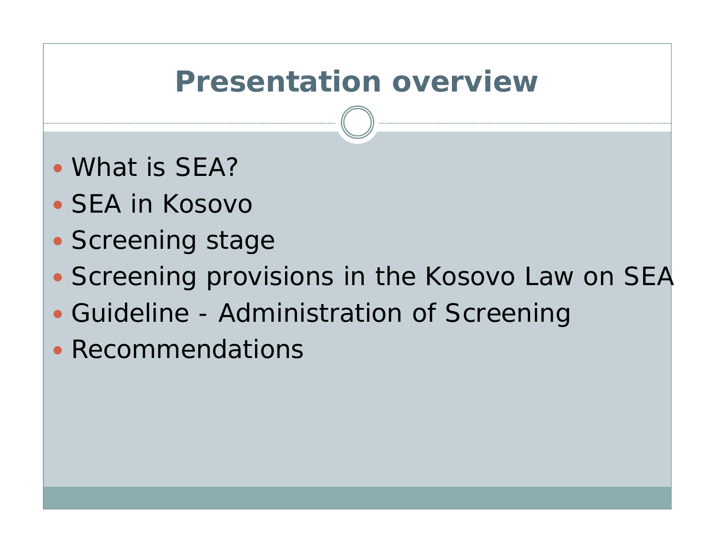## **Presentation overview**

- What is SEA?
- SEA in Kosovo
- Screening stage
- Screening provisions in the Kosovo Law on SEA
- Guideline Administration of Screening
- Recommendations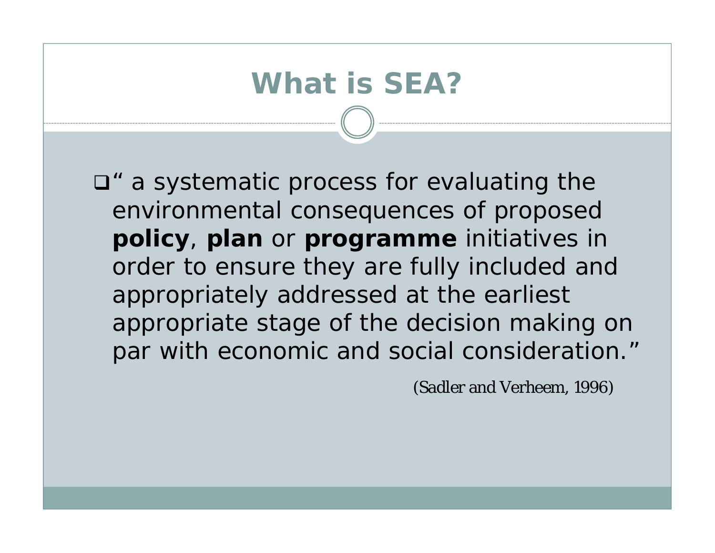# **What is SEA?**

*" a systematic process for evaluating the environmental consequences of proposed policy, plan or programme initiatives in order to ensure they are fully included and appropriately addressed at the earliest appropriate stage of the decision making on par with economic and social consideration."*

(Sadler and Verheem, 1996)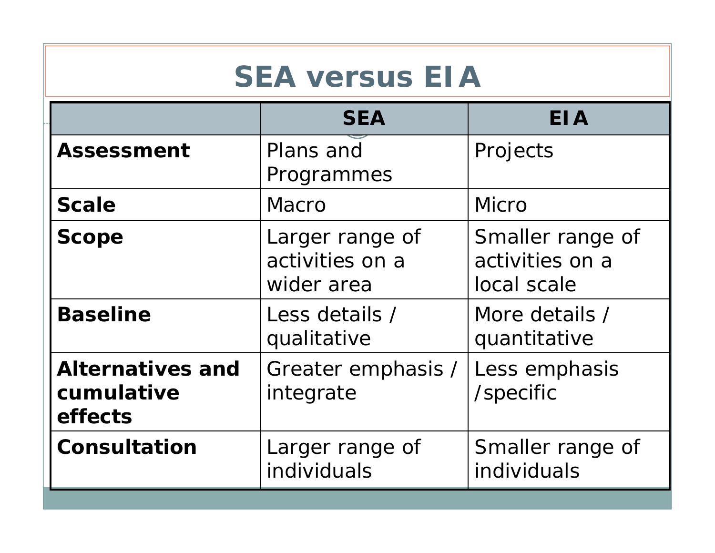## **SEA versus EIA**

|                                                  | <b>SEA</b>                                       | <b>EIA</b>                                         |  |
|--------------------------------------------------|--------------------------------------------------|----------------------------------------------------|--|
| <b>Assessment</b>                                | Plans and<br>Programmes                          | Projects                                           |  |
| <b>Scale</b>                                     | <b>Macro</b>                                     | Micro                                              |  |
| <b>Scope</b>                                     | Larger range of<br>activities on a<br>wider area | Smaller range of<br>activities on a<br>local scale |  |
| <b>Baseline</b>                                  | Less details /<br>qualitative                    | More details /<br>quantitative                     |  |
| <b>Alternatives and</b><br>cumulative<br>effects | Greater emphasis /<br>integrate                  | Less emphasis<br>/specific                         |  |
| Consultation                                     | Larger range of<br>individuals                   | Smaller range of<br>individuals                    |  |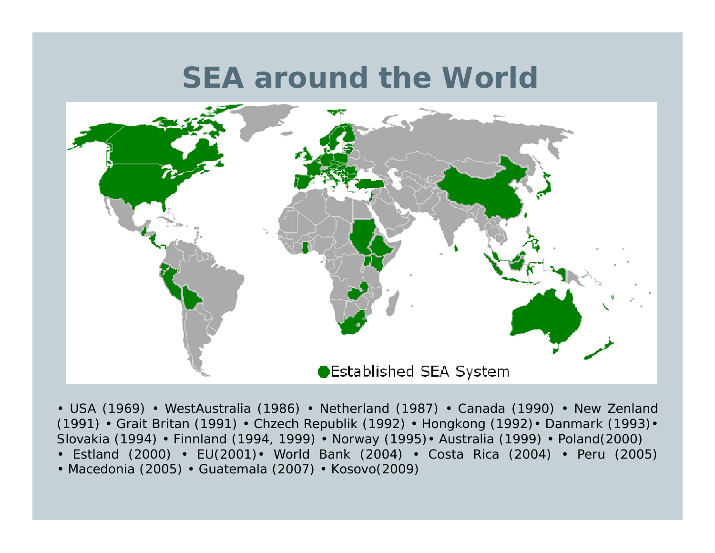#### **SEA around the World**



• USA (1969) • WestAustralia (1986) • Netherland (1987) • Canada (1990) • New Zenland (1991) • Grait Britan (1991) • Chzech Republik (1992) • Hongkong (1992)• Danmark (1993)• Slovakia (1994) • Finnland (1994, 1999) • Norway (1995)• Australia (1999) • Poland(2000)

- Estland (2000) EU(2001)• World Bank (2004) Costa Rica (2004) Peru (2005)
- Macedonia (2005) Guatemala (2007) Kosovo(2009)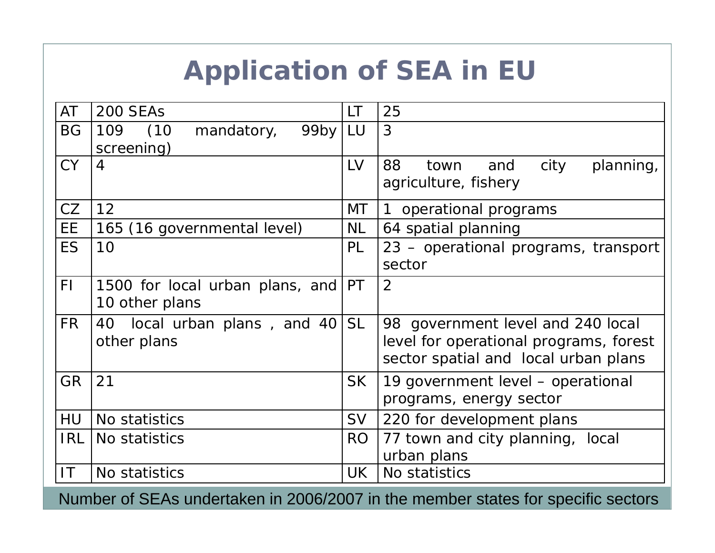## **Application of SEA in EU**

| AT             | 200 SEAs                                                | LT             | 25                                                                                                                  |  |
|----------------|---------------------------------------------------------|----------------|---------------------------------------------------------------------------------------------------------------------|--|
| <b>BG</b>      | (10)<br>$99$ by   LU<br>109<br>mandatory,<br>screening) |                | 3                                                                                                                   |  |
| <b>CY</b>      | 4                                                       | LV             | 88<br>city<br>and<br>planning,<br>town<br>agriculture, fishery                                                      |  |
| CZ             | 12                                                      |                | 1 operational programs                                                                                              |  |
| EE             | 165 (16 governmental level)                             |                | 64 spatial planning                                                                                                 |  |
| <b>ES</b>      | 10                                                      | PL             | 23 – operational programs, transport<br>sector                                                                      |  |
| F <sub>l</sub> | 1500 for local urban plans, and<br>10 other plans       | PT             | 2                                                                                                                   |  |
| FR.            | local urban plans, and 40<br>40<br>other plans          |                | 98 government level and 240 local<br>level for operational programs, forest<br>sector spatial and local urban plans |  |
| <b>GR</b>      | 21                                                      | <b>SK</b>      | 19 government level – operational<br>programs, energy sector                                                        |  |
| <b>HU</b>      | No statistics                                           | <b>SV</b>      | 220 for development plans                                                                                           |  |
| <b>IRL</b>     | No statistics                                           | R <sub>O</sub> | 77 town and city planning, local<br>urban plans                                                                     |  |
| IT.            | No statistics                                           | UK             | No statistics                                                                                                       |  |

Number of SEAs undertaken in 2006/2007 in the member states for specific sectors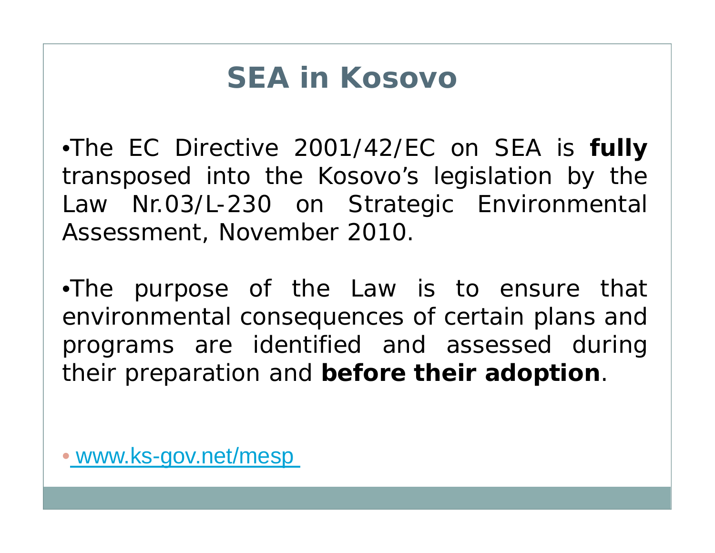# **SEA in Kosovo**

•The EC Directive 2001/42/EC on SEA is **fully** transposed into the Kosovo's legislation by the Law Nr.03/L-230 on Strategic Environmental Assessment, November 2010.

•The purpose of the Law is to ensure that environmental consequences of certain plans and programs are identified and assessed during their preparation and **before their adoption**.

• www.ks-gov.net/mesp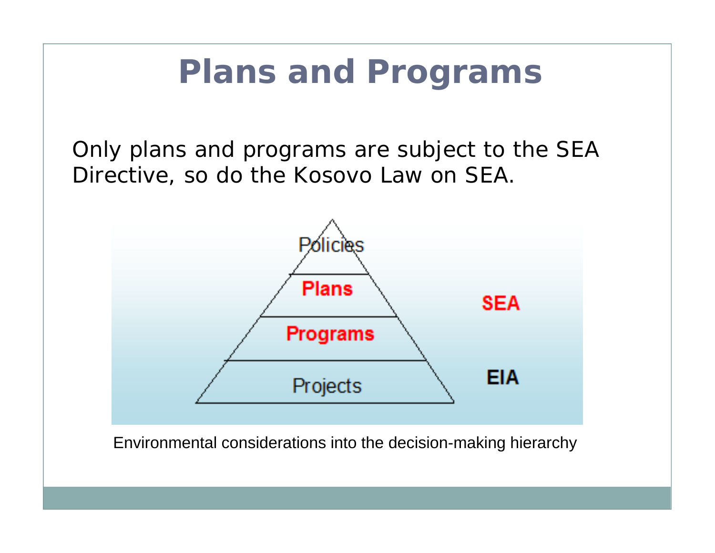# **Plans and Programs**

*Only plans and programs are subject to the SEA Directive, so do the Kosovo Law on SEA.* 



Environmental considerations into the decision-making hierarchy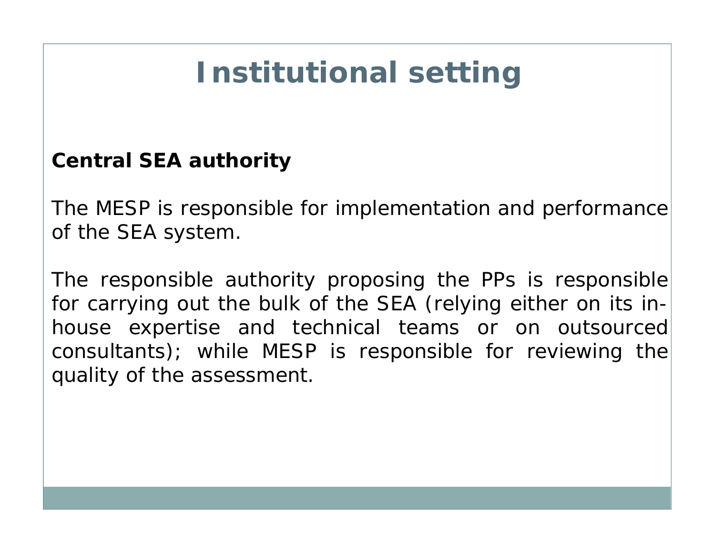# **Institutional setting**

#### *Central SEA authority*

The MESP is responsible for implementation and performance of the SEA system.

The responsible authority proposing the PPs is responsible for carrying out the bulk of the SEA (relying either on its inhouse expertise and technical teams or on outsourced consultants); while MESP is responsible for reviewing the quality of the assessment.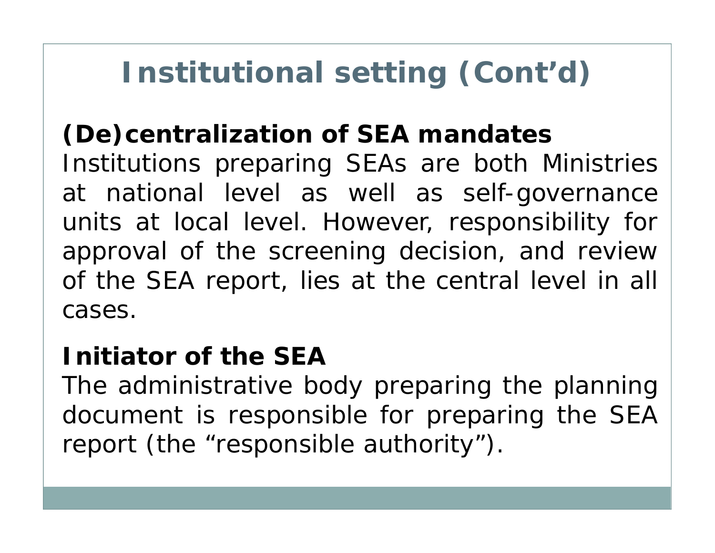# **Institutional setting (Cont'd)**

#### *(De)centralization of SEA mandates*

Institutions preparing SEAs are both Ministries at national level as well as self-governance units at local level. However, responsibility for approval of the screening decision, and review of the SEA report, lies at the central level in all cases.

#### *Initiator of the SEA*

The administrative body preparing the planning document is responsible for preparing the SEA report (the "responsible authority").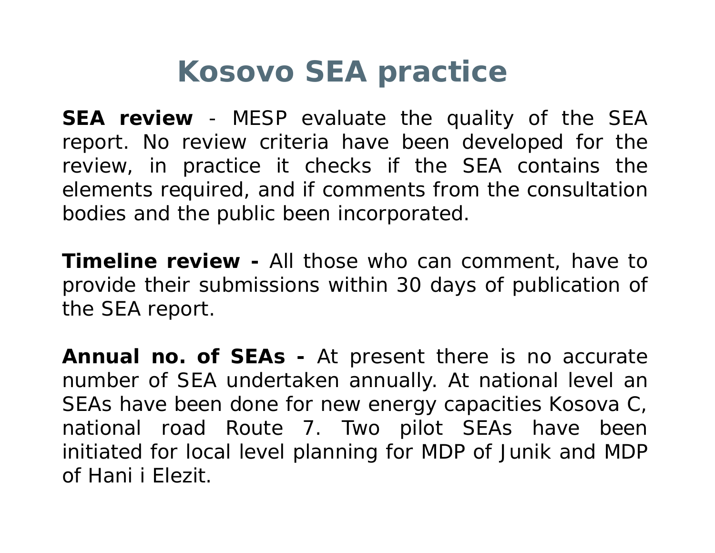# **Kosovo SEA practice**

*SEA review* - MESP evaluate the quality of the SEA report. No review criteria have been developed for the review, in practice it checks if the SEA contains the elements required, and if comments from the consultation bodies and the public been incorporated.

*Timeline review -* All those who can comment, have to provide their submissions within 30 days of publication of the SEA report.

*Annual no. of SEAs* **-** At present there is no accurate number of SEA undertaken annually. At national level an SEAs have been done for new energy capacities Kosova C, national road Route 7. Two pilot SEAs have been initiated for local level planning for MDP of Junik and MDP of Hani i Elezit.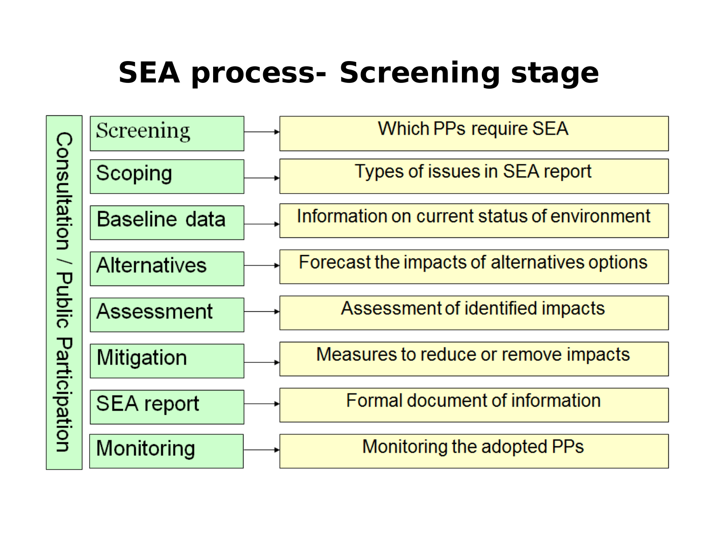# **SEA process- Screening stage**

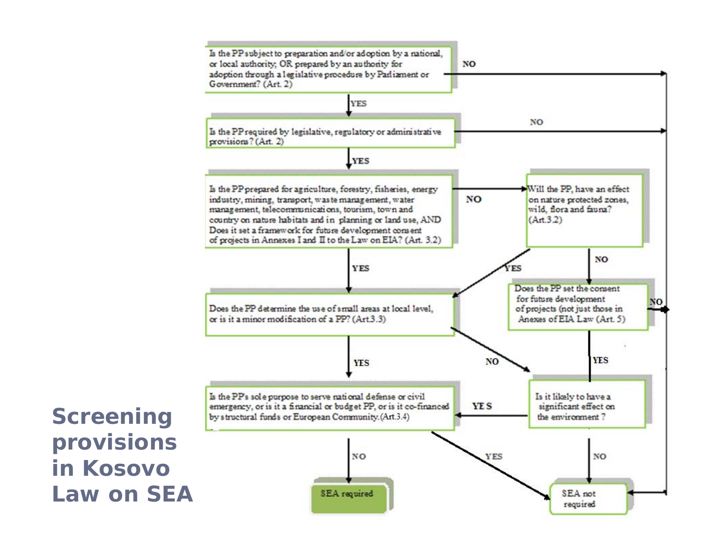

**Screening provisions in Kosovo Law on SEA**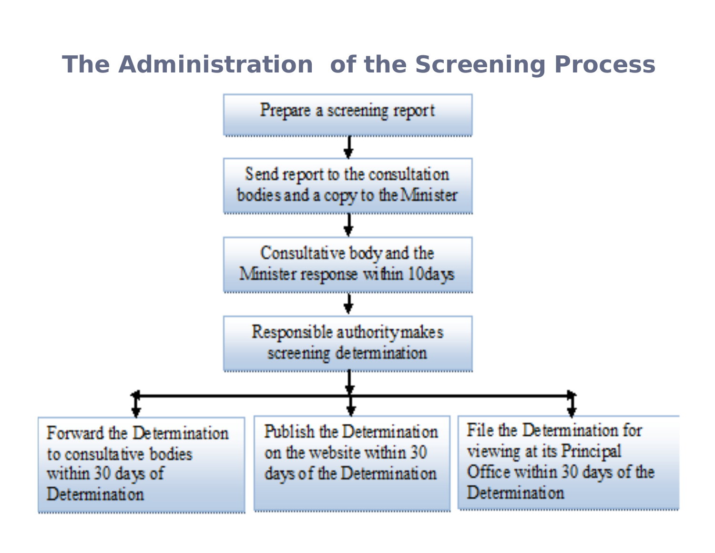#### **The Administration of the Screening Process**

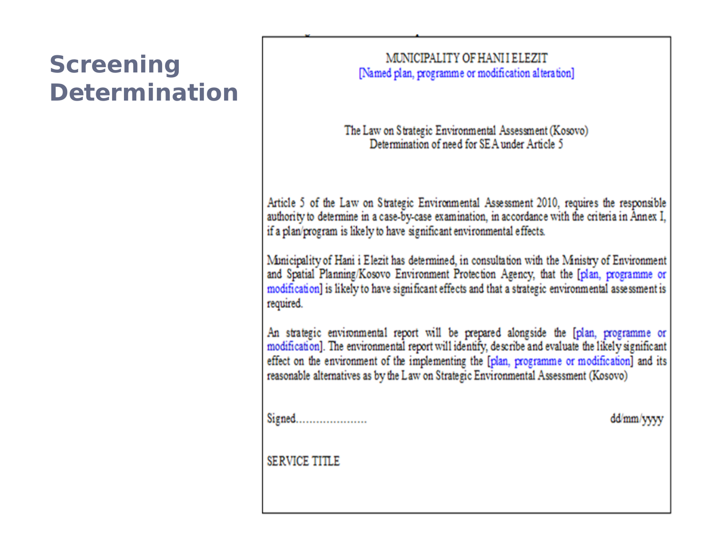#### **Screening Determination**

#### MUNICIPALITY OF HANI I ELEZIT [Named plan, programme or modification alteration]

The Law on Strategic Environmental Assessment (Kosovo) Determination of need for SEA under Article 5

Article 5 of the Law on Strategic Environmental Assessment 2010, requires the responsible authority to determine in a case-by-case examination, in accordance with the criteria in Annex I, if a plan/program is likely to have significant environmental effects.

Municipality of Hani i Elezit has determined, in consultation with the Ministry of Environment and Spatial Planning/Kosovo Environment Protection Agency, that the [plan, programme or modification] is likely to have significant effects and that a strategic environmental assessment is required.

An strategic environmental report will be prepared alongside the [plan, programme or modification]. The environmental report will identify, describe and evaluate the likely significant effect on the environment of the implementing the [plan, programme or modification] and its reasonable alternatives as by the Law on Strategic Environmental Assessment (Kosovo)

Signed......................

dd/mm/yyyy

**SERVICE TITLE**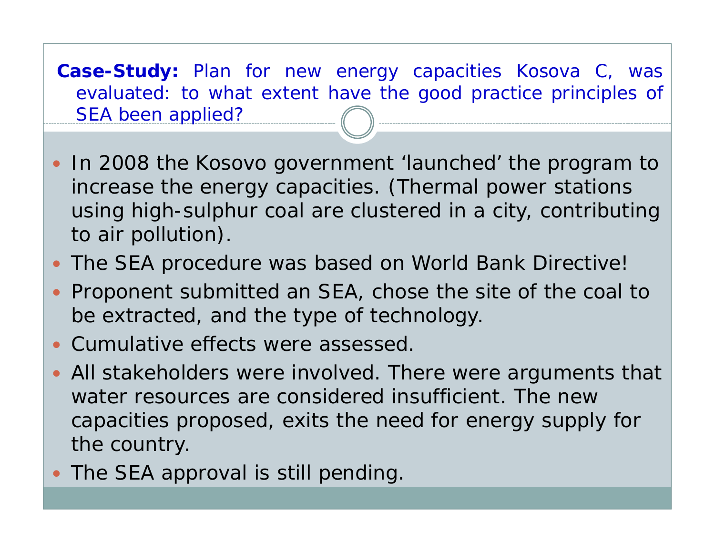**Case-Study:** Plan for new energy capacities Kosova C, was evaluated: to what extent have the good practice principles of SEA been applied?

- In 2008 the Kosovo government 'launched' the program to increase the energy capacities. (Thermal power stations using high-sulphur coal are clustered in a city, contributing to air pollution).
- $\bullet$ The SEA procedure was based on World Bank Directive!
- $\bullet$  Proponent submitted an SEA, chose the site of the coal to be extracted, and the type of technology.
- Cumulative effects were assessed.
- All stakeholders were involved. There were arguments that water resources are considered insufficient. The new capacities proposed, exits the need for energy supply for the country.
- The SEA approval is still pending.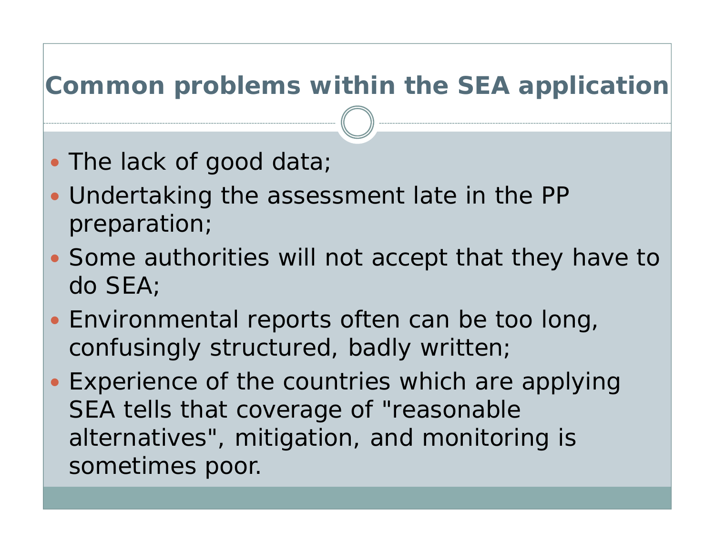#### **Common problems within the SEA application**

- The lack of good data;
- Undertaking the assessment late in the PP preparation;
- Some authorities will not accept that they have to do SEA;
- Environmental reports often can be too long, confusingly structured, badly written;
- Experience of the countries which are applying SEA tells that coverage of "reasonable alternatives", mitigation, and monitoring is sometimes poor.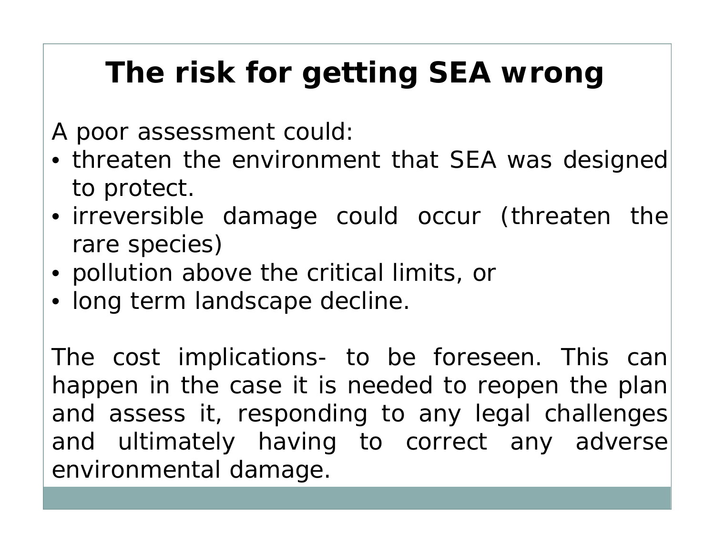# **The risk for getting SEA wrong**

- A poor assessment could:
- threaten the environment that SEA was designed to protect.
- irreversible damage could occur (threaten the rare species)
- pollution above the critical limits, or
- long term landscape decline.

The cost implications- to be foreseen. This can happen in the case it is needed to reopen the plan and assess it, responding to any legal challenges and ultimately having to correct any adverse environmental damage.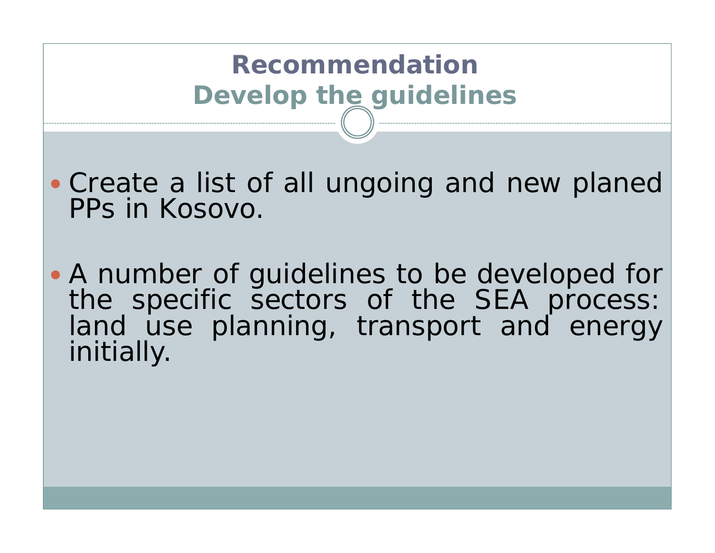## **Recommendation Develop the guidelines**

• Create a list of all ungoing and new planed PPs in Kosovo.

• A number of guidelines to be developed for the specific sectors of the SEA process: land use planning, transport and energy initially.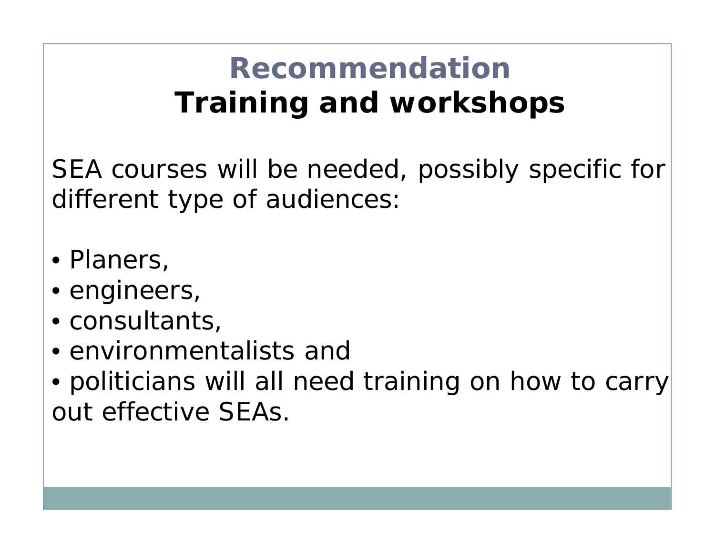# **Recommendation Training and workshops**

SEA courses will be needed, possibly specific for different type of audiences:

- Planers,
- engineers,
- consultants,
- environmentalists and
- politicians will all need training on how to carry out effective SEAs.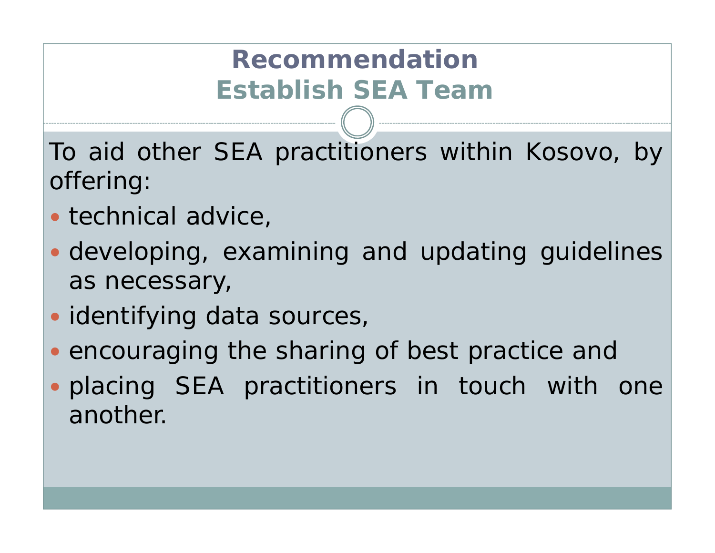## **Recommendation Establish SEA Team**

To aid other SEA practitioners within Kosovo, by offering:

- technical advice,
- developing, examining and updating guidelines as necessary,
- identifying data sources,
- encouraging the sharing of best practice and
- placing SEA practitioners in touch with one another.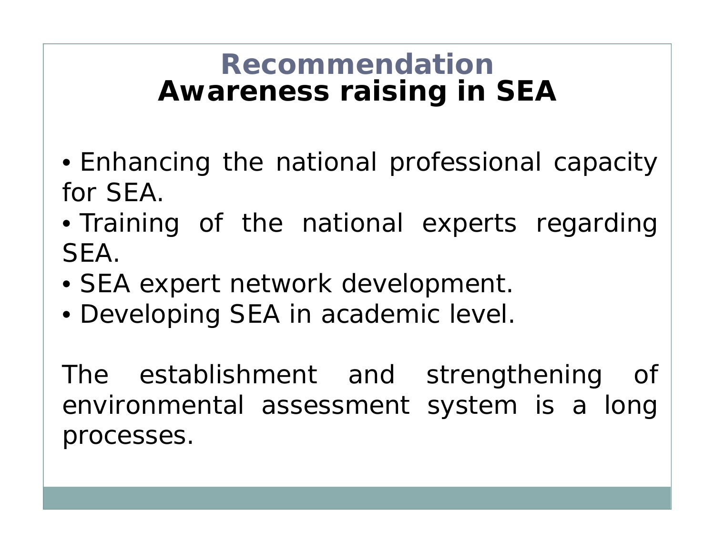#### **Recommendation Awareness raising in SEA**

- Enhancing the national professional capacity for SEA.
- Training of the national experts regarding SEA.
- SEA expert network development.
- Developing SEA in academic level.

The establishment and strengthening of environmental assessment system is <sup>a</sup> long processes.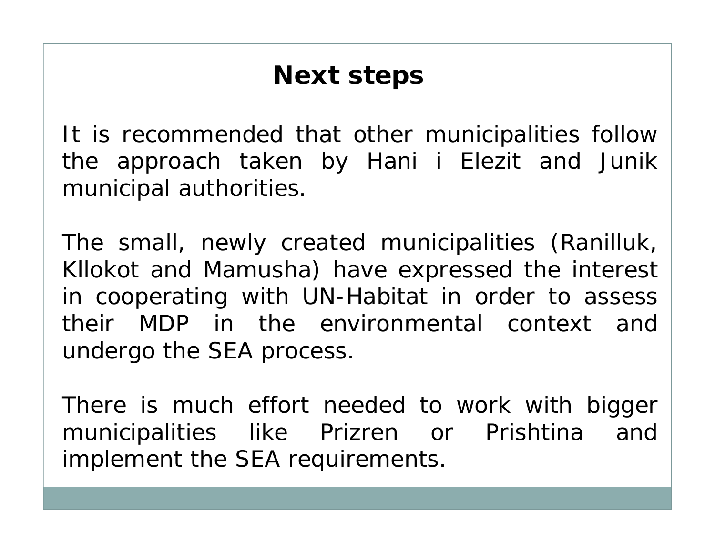#### **Next steps**

It is recommended that other municipalities follow the approach taken by Hani i Elezit and Junik municipal authorities.

The small, newly created municipalities (Ranilluk, Kllokot and Mamusha) have expressed the interest in cooperating with UN-Habitat in order to assess their MDP in the environmental context and undergo the SEA process.

There is much effort needed to work with bigger municipalities like Prizren or Prishtina and implement the SEA requirements.